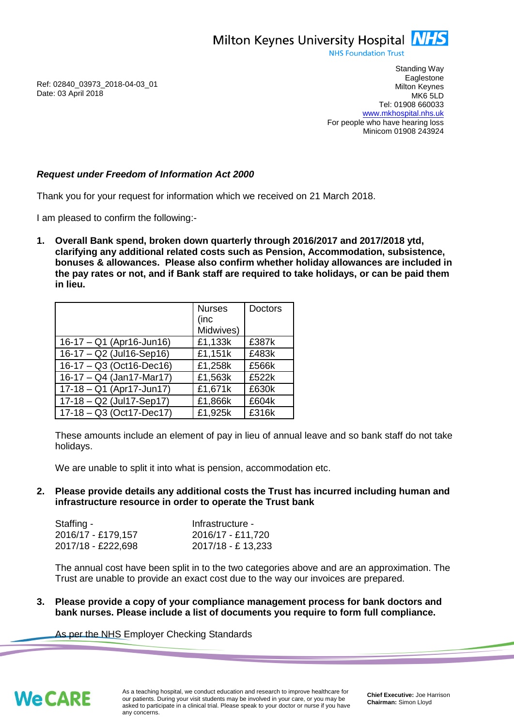Milton Keynes University Hospital **NHS** 

**NHS Foundation Trust** 

Ref: 02840\_03973\_2018-04-03\_01 Date: 03 April 2018

Standing Way **Eaglestone** Milton Keynes MK6 5LD Tel: 01908 660033 [www.mkhospital.nhs.uk](http://www.mkhospital.nhs.uk/) For people who have hearing loss Minicom 01908 243924

## *Request under Freedom of Information Act 2000*

Thank you for your request for information which we received on 21 March 2018.

I am pleased to confirm the following:-

**1. Overall Bank spend, broken down quarterly through 2016/2017 and 2017/2018 ytd, clarifying any additional related costs such as Pension, Accommodation, subsistence, bonuses & allowances. Please also confirm whether holiday allowances are included in the pay rates or not, and if Bank staff are required to take holidays, or can be paid them in lieu.**

|                            | <b>Nurses</b><br>(inc<br>Midwives) | <b>Doctors</b> |
|----------------------------|------------------------------------|----------------|
| $16-17 - Q1$ (Apr16-Jun16) | £1,133k                            | £387k          |
| $16-17 - Q2$ (Jul16-Sep16) | £1,151k                            | £483k          |
| 16-17 - Q3 (Oct16-Dec16)   | £1,258k                            | £566k          |
| 16-17 - Q4 (Jan17-Mar17)   | £1,563k                            | £522k          |
| 17-18 - Q1 (Apr17-Jun17)   | £1,671k                            | £630k          |
| 17-18 - Q2 (Jul17-Sep17)   | £1,866k                            | £604k          |
| $17-18 - Q3$ (Oct17-Dec17) | £1,925k                            | £316k          |

These amounts include an element of pay in lieu of annual leave and so bank staff do not take holidays.

We are unable to split it into what is pension, accommodation etc.

**2. Please provide details any additional costs the Trust has incurred including human and infrastructure resource in order to operate the Trust bank**

| Staffing -         | Infrastructure -   |
|--------------------|--------------------|
| 2016/17 - £179,157 | 2016/17 - £11,720  |
| 2017/18 - £222,698 | 2017/18 - £ 13,233 |

The annual cost have been split in to the two categories above and are an approximation. The Trust are unable to provide an exact cost due to the way our invoices are prepared.

**3. Please provide a copy of your compliance management process for bank doctors and bank nurses. Please include a list of documents you require to form full compliance.**

As per the NHS Employer Checking Standards